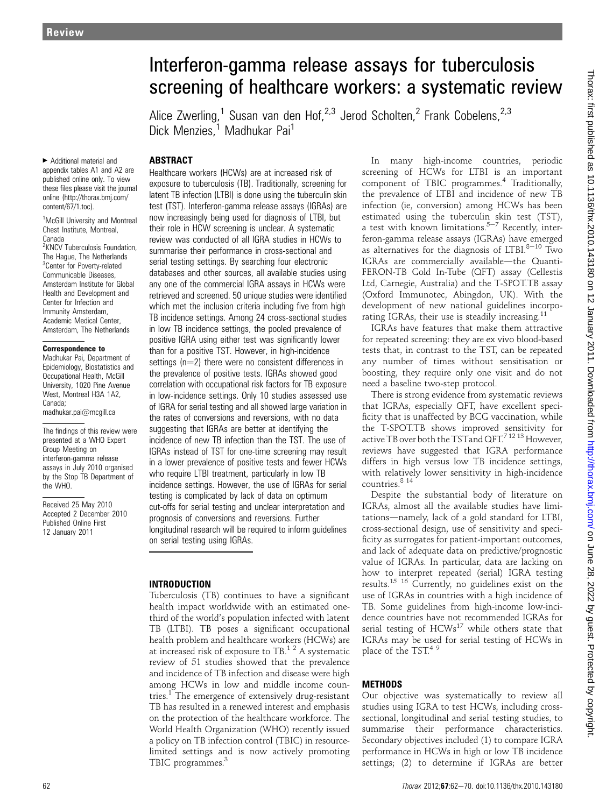# Interferon-gamma release assays for tuberculosis screening of healthcare workers: a systematic review

Alice Zwerling,<sup>1</sup> Susan van den Hof,<sup>2,3</sup> Jerod Scholten,<sup>2</sup> Frank Cobelens,<sup>2,3</sup> Dick Menzies,<sup>1</sup> Madhukar Pai<sup>1</sup>

# **ABSTRACT**

< Additional material and appendix tables A1 and A2 are published online only. To view these files please visit the journal online (http://thorax.bmj.com/ content/67/1.toc).

<sup>1</sup>McGill University and Montreal Chest Institute, Montreal, Canada <sup>2</sup>KNCV Tuberculosis Foundation, The Hague, The Netherlands <sup>3</sup>Center for Poverty-related Communicable Diseases, Amsterdam Institute for Global Health and Development and Center for Infection and Immunity Amsterdam, Academic Medical Center Amsterdam, The Netherlands

#### Correspondence to

Madhukar Pai, Department of Epidemiology, Biostatistics and Occupational Health, McGill University, 1020 Pine Avenue West, Montreal H3A 1A2, Canada; madhukar.pai@mcgill.ca

The findings of this review were presented at a WHO Expert Group Meeting on interferon-gamma release assays in July 2010 organised by the Stop TB Department of the WHO.

Received 25 May 2010 Accepted 2 December 2010 Published Online First 12 January 2011

Healthcare workers (HCWs) are at increased risk of exposure to tuberculosis (TB). Traditionally, screening for latent TB infection (LTBI) is done using the tuberculin skin test (TST). Interferon-gamma release assays (IGRAs) are now increasingly being used for diagnosis of LTBI, but their role in HCW screening is unclear. A systematic review was conducted of all IGRA studies in HCWs to summarise their performance in cross-sectional and serial testing settings. By searching four electronic databases and other sources, all available studies using any one of the commercial IGRA assays in HCWs were retrieved and screened. 50 unique studies were identified which met the inclusion criteria including five from high TB incidence settings. Among 24 cross-sectional studies in low TB incidence settings, the pooled prevalence of positive IGRA using either test was significantly lower than for a positive TST. However, in high-incidence settings  $(n=2)$  there were no consistent differences in the prevalence of positive tests. IGRAs showed good correlation with occupational risk factors for TB exposure in low-incidence settings. Only 10 studies assessed use of IGRA for serial testing and all showed large variation in the rates of conversions and reversions, with no data suggesting that IGRAs are better at identifying the incidence of new TB infection than the TST. The use of IGRAs instead of TST for one-time screening may result in a lower prevalence of positive tests and fewer HCWs who require LTBI treatment, particularly in low TB incidence settings. However, the use of IGRAs for serial testing is complicated by lack of data on optimum cut-offs for serial testing and unclear interpretation and prognosis of conversions and reversions. Further longitudinal research will be required to inform guidelines on serial testing using IGRAs.

# INTRODUCTION

Tuberculosis (TB) continues to have a significant health impact worldwide with an estimated onethird of the world's population infected with latent TB (LTBI). TB poses a significant occupational health problem and healthcare workers (HCWs) are at increased risk of exposure to  $TB.<sup>12</sup>$  A systematic review of 51 studies showed that the prevalence and incidence of TB infection and disease were high among HCWs in low and middle income countries.<sup>1</sup> The emergence of extensively drug-resistant TB has resulted in a renewed interest and emphasis on the protection of the healthcare workforce. The World Health Organization (WHO) recently issued a policy on TB infection control (TBIC) in resourcelimited settings and is now actively promoting TBIC programmes.<sup>3</sup>

In many high-income countries, periodic screening of HCWs for LTBI is an important component of TBIC programmes.<sup>4</sup> Traditionally, the prevalence of LTBI and incidence of new TB infection (ie, conversion) among HCWs has been estimated using the tuberculin skin test (TST), a test with known limitations. $5-7$  Recently, interferon-gamma release assays (IGRAs) have emerged as alternatives for the diagnosis of LTBI. $8-10$  Two IGRAs are commercially available-the Quanti-FERON-TB Gold In-Tube (QFT) assay (Cellestis Ltd, Carnegie, Australia) and the T-SPOT.TB assay (Oxford Immunotec, Abingdon, UK). With the development of new national guidelines incorporating IGRAs, their use is steadily increasing.<sup>11</sup>

IGRAs have features that make them attractive for repeated screening: they are ex vivo blood-based tests that, in contrast to the TST, can be repeated any number of times without sensitisation or boosting, they require only one visit and do not need a baseline two-step protocol.

There is strong evidence from systematic reviews that IGRAs, especially QFT, have excellent specificity that is unaffected by BCG vaccination, while the T-SPOT.TB shows improved sensitivity for active TB over both the TST and QFT.<sup>71213</sup> However, reviews have suggested that IGRA performance differs in high versus low TB incidence settings, with relatively lower sensitivity in high-incidence countries.<sup>8 14</sup>

Despite the substantial body of literature on IGRAs, almost all the available studies have limitations-namely, lack of a gold standard for LTBI, cross-sectional design, use of sensitivity and specificity as surrogates for patient-important outcomes, and lack of adequate data on predictive/prognostic value of IGRAs. In particular, data are lacking on how to interpret repeated (serial) IGRA testing results.<sup>15</sup> <sup>16</sup> Currently, no guidelines exist on the use of IGRAs in countries with a high incidence of TB. Some guidelines from high-income low-incidence countries have not recommended IGRAs for serial testing of  $HCWs^{17}$  while others state that IGRAs may be used for serial testing of HCWs in place of the TST.<sup>49</sup>

# **METHODS**

Our objective was systematically to review all studies using IGRA to test HCWs, including crosssectional, longitudinal and serial testing studies, to summarise their performance characteristics. Secondary objectives included (1) to compare IGRA performance in HCWs in high or low TB incidence settings; (2) to determine if IGRAs are better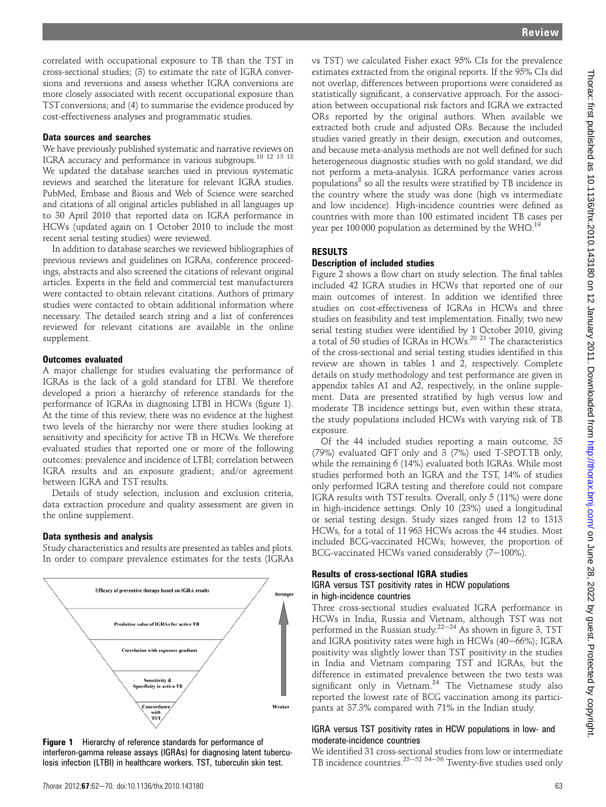correlated with occupational exposure to TB than the TST in cross-sectional studies; (3) to estimate the rate of IGRA conversions and reversions and assess whether IGRA conversions are more closely associated with recent occupational exposure than TST conversions; and (4) to summarise the evidence produced by cost-effectiveness analyses and programmatic studies.

#### Data sources and searches

We have previously published systematic and narrative reviews on IGRA accuracy and performance in various subgroups.10 12 13 18 We updated the database searches used in previous systematic reviews and searched the literature for relevant IGRA studies. PubMed, Embase and Biosis and Web of Science were searched and citations of all original articles published in all languages up to 30 April 2010 that reported data on IGRA performance in HCWs (updated again on 1 October 2010 to include the most recent serial testing studies) were reviewed.

In addition to database searches we reviewed bibliographies of previous reviews and guidelines on IGRAs, conference proceedings, abstracts and also screened the citations of relevant original articles. Experts in the field and commercial test manufacturers were contacted to obtain relevant citations. Authors of primary studies were contacted to obtain additional information where necessary. The detailed search string and a list of conferences reviewed for relevant citations are available in the online supplement.

#### Outcomes evaluated

A major challenge for studies evaluating the performance of IGRAs is the lack of a gold standard for LTBI. We therefore developed a priori a hierarchy of reference standards for the performance of IGRAs in diagnosing LTBI in HCWs (figure 1). At the time of this review, there was no evidence at the highest two levels of the hierarchy nor were there studies looking at sensitivity and specificity for active TB in HCWs. We therefore evaluated studies that reported one or more of the following outcomes: prevalence and incidence of LTBI; correlation between IGRA results and an exposure gradient; and/or agreement between IGRA and TST results.

Details of study selection, inclusion and exclusion criteria, data extraction procedure and quality assessment are given in the online supplement.

#### Data synthesis and analysis

Study characteristics and results are presented as tables and plots. In order to compare prevalence estimates for the tests (IGRAs



Figure 1 Hierarchy of reference standards for performance of interferon-gamma release assays (IGRAs) for diagnosing latent tuberculosis infection (LTBI) in healthcare workers. TST, tuberculin skin test.

vs TST) we calculated Fisher exact 95% CIs for the prevalence estimates extracted from the original reports. If the 95% CIs did not overlap, differences between proportions were considered as statistically significant, a conservative approach. For the association between occupational risk factors and IGRA we extracted ORs reported by the original authors. When available we extracted both crude and adjusted ORs. Because the included studies varied greatly in their design, execution and outcomes, and because meta-analysis methods are not well defined for such heterogeneous diagnostic studies with no gold standard, we did not perform a meta-analysis. IGRA performance varies across populations<sup>8</sup> so all the results were stratified by TB incidence in the country where the study was done (high vs intermediate and low incidence). High-incidence countries were defined as countries with more than 100 estimated incident TB cases per year per 100 000 population as determined by the WHO.<sup>19</sup>

#### RESULTS

#### Description of included studies

Figure 2 shows a flow chart on study selection. The final tables included 42 IGRA studies in HCWs that reported one of our main outcomes of interest. In addition we identified three studies on cost-effectiveness of IGRAs in HCWs and three studies on feasibility and test implementation. Finally, two new serial testing studies were identified by 1 October 2010, giving a total of 50 studies of IGRAs in HCWs.<sup>20 21</sup> The characteristics of the cross-sectional and serial testing studies identified in this review are shown in tables 1 and 2, respectively. Complete details on study methodology and test performance are given in appendix tables A1 and A2, respectively, in the online supplement. Data are presented stratified by high versus low and moderate TB incidence settings but, even within these strata, the study populations included HCWs with varying risk of TB exposure.

Of the 44 included studies reporting a main outcome, 35 (79%) evaluated QFT only and 3 (7%) used T-SPOT.TB only, while the remaining 6 (14%) evaluated both IGRAs. While most studies performed both an IGRA and the TST, 14% of studies only performed IGRA testing and therefore could not compare IGRA results with TST results. Overall, only 5 (11%) were done in high-incidence settings. Only 10 (23%) used a longitudinal or serial testing design. Study sizes ranged from 12 to 1313 HCWs, for a total of 11 963 HCWs across the 44 studies. Most included BCG-vaccinated HCWs; however, the proportion of BCG-vaccinated HCWs varied considerably  $(7-100\%)$ .

#### Results of cross-sectional IGRA studies IGRA versus TST positivity rates in HCW populations

# in high-incidence countries

Three cross-sectional studies evaluated IGRA performance in HCWs in India, Russia and Vietnam, although TST was not performed in the Russian study.<sup>22–24</sup> As shown in figure 3, TST and IGRA positivity rates were high in HCWs (40 $-66\%$ ); IGRA positivity was slightly lower than TST positivity in the studies in India and Vietnam comparing TST and IGRAs, but the difference in estimated prevalence between the two tests was significant only in Vietnam.<sup>24</sup> The Vietnamese study also reported the lowest rate of BCG vaccination among its participants at 37.3% compared with 71% in the Indian study.

## IGRA versus TST positivity rates in HCW populations in low- and moderate-incidence countries

We identified 31 cross-sectional studies from low or intermediate TB incidence countries.<sup>25–52 54–56</sup> Twenty-five studies used only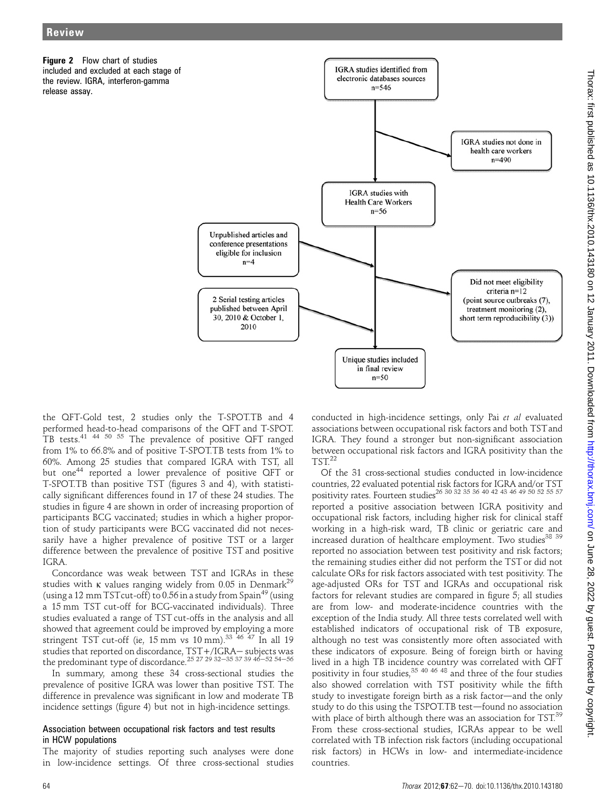Figure 2 Flow chart of studies included and excluded at each stage of the review. IGRA, interferon-gamma release assay.



the QFT-Gold test, 2 studies only the T-SPOT.TB and 4 performed head-to-head comparisons of the QFT and T-SPOT. TB tests.41 44 50 55 The prevalence of positive QFT ranged from 1% to 66.8% and of positive T-SPOT.TB tests from 1% to 60%. Among 25 studies that compared IGRA with TST, all but one<sup>44</sup> reported a lower prevalence of positive QFT or T-SPOT.TB than positive TST (figures 3 and 4), with statistically significant differences found in 17 of these 24 studies. The studies in figure 4 are shown in order of increasing proportion of participants BCG vaccinated; studies in which a higher proportion of study participants were BCG vaccinated did not necessarily have a higher prevalence of positive TST or a larger difference between the prevalence of positive TST and positive IGRA.

Concordance was weak between TST and IGRAs in these studies with  $\kappa$  values ranging widely from 0.05 in Denmark<sup>29</sup> (using a 12 mm TST cut-off) to 0.56 in a study from Spain<sup>49</sup> (using a 15 mm TST cut-off for BCG-vaccinated individuals). Three studies evaluated a range of TST cut-offs in the analysis and all showed that agreement could be improved by employing a more stringent TST cut-off (ie, 15 mm vs 10 mm).<sup>33 46 47</sup> In all 19 studies that reported on discordance, TST+/IGRA– subjects was the predominant type of discordance. $25$  27  $29$  32–35 37 39 46–52 54–56

In summary, among these 34 cross-sectional studies the prevalence of positive IGRA was lower than positive TST. The difference in prevalence was significant in low and moderate TB incidence settings (figure 4) but not in high-incidence settings.

## Association between occupational risk factors and test results in HCW populations

The majority of studies reporting such analyses were done in low-incidence settings. Of three cross-sectional studies

conducted in high-incidence settings, only Pai et al evaluated associations between occupational risk factors and both TST and IGRA. They found a stronger but non-significant association between occupational risk factors and IGRA positivity than the TST.<sup>22</sup>

Of the 31 cross-sectional studies conducted in low-incidence countries, 22 evaluated potential risk factors for IGRA and/or TST positivity rates. Fourteen studies26 30 32 35 36 40 42 43 46 49 50 52 55 57 reported a positive association between IGRA positivity and occupational risk factors, including higher risk for clinical staff working in a high-risk ward, TB clinic or geriatric care and increased duration of healthcare employment. Two studies<sup>38 39</sup> reported no association between test positivity and risk factors; the remaining studies either did not perform the TST or did not calculate ORs for risk factors associated with test positivity. The age-adjusted ORs for TST and IGRAs and occupational risk factors for relevant studies are compared in figure 5; all studies are from low- and moderate-incidence countries with the exception of the India study. All three tests correlated well with established indicators of occupational risk of TB exposure, although no test was consistently more often associated with these indicators of exposure. Being of foreign birth or having lived in a high TB incidence country was correlated with QFT positivity in four studies,  $35\,40\,46\,48$  and three of the four studies also showed correlation with TST positivity while the fifth study to investigate foreign birth as a risk factor—and the only study to do this using the TSPOT.TB test-found no association with place of birth although there was an association for TST.<sup>39</sup> From these cross-sectional studies, IGRAs appear to be well correlated with TB infection risk factors (including occupational risk factors) in HCWs in low- and intermediate-incidence countries.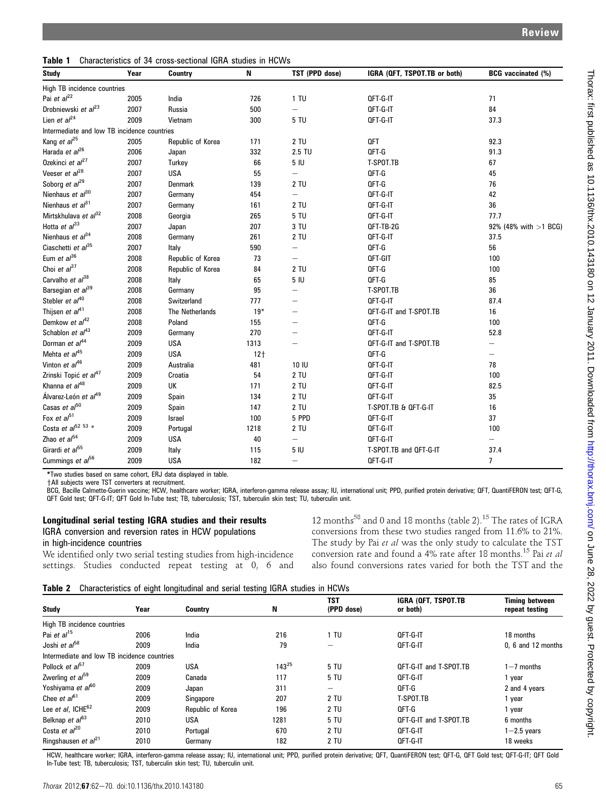| <b>Study</b>                                | Year | Country           | N     | TST (PPD dose)           | IGRA (QFT, TSPOT.TB or both) | <b>BCG</b> vaccinated (%) |  |
|---------------------------------------------|------|-------------------|-------|--------------------------|------------------------------|---------------------------|--|
| High TB incidence countries                 |      |                   |       |                          |                              |                           |  |
| Pai et $al^{22}$                            | 2005 | India             | 726   | $1$ TU                   | QFT-G-IT                     | 71                        |  |
| Drobniewski et al <sup>23</sup>             | 2007 | Russia            | 500   |                          | QFT-G-IT                     | 84                        |  |
| Lien et $al24$                              | 2009 | Vietnam           | 300   | 5 TU                     | QFT-G-IT                     | 37.3                      |  |
| Intermediate and low TB incidence countries |      |                   |       |                          |                              |                           |  |
| Kang et al <sup>25</sup>                    | 2005 | Republic of Korea | 171   | 2 TU                     | <b>QFT</b>                   | 92.3                      |  |
| Harada et $a^{26}$                          | 2006 | Japan             | 332   | 2.5 TU                   | QFT-G                        | 91.3                      |  |
| Ozekinci et $al^{27}$                       | 2007 | Turkey            | 66    | 5 IU                     | T-SPOT.TB                    | 67                        |  |
| Veeser et al <sup>28</sup>                  | 2007 | <b>USA</b>        | 55    | $\qquad \qquad -$        | QFT-G                        | 45                        |  |
| Soborg et al <sup>29</sup>                  | 2007 | <b>Denmark</b>    | 139   | 2 TU                     | QFT-G                        | 76                        |  |
| Nienhaus et al <sup>30</sup>                | 2007 | Germany           | 454   | $\overline{\phantom{0}}$ | QFT-G-IT                     | 42                        |  |
| Nienhaus et al <sup>31</sup>                | 2007 | Germany           | 161   | 2 TU                     | QFT-G-IT                     | 36                        |  |
| Mirtskhulava et al <sup>32</sup>            | 2008 | Georgia           | 265   | 5 TU                     | QFT-G-IT                     | 77.7                      |  |
| Hotta et al <sup>33</sup>                   | 2007 | Japan             | 207   | 3 TU                     | QFT-TB-2G                    | 92% (48% with $>1$ BCG)   |  |
| Nienhaus et al <sup>34</sup>                | 2008 | Germany           | 261   | 2 TU                     | QFT-G-IT                     | 37.5                      |  |
| Ciaschetti et al <sup>35</sup>              | 2007 | Italy             | 590   | $\overline{\phantom{0}}$ | QFT-G                        | 56                        |  |
| Eum et $al^{36}$                            | 2008 | Republic of Korea | 73    | $\overline{\phantom{0}}$ | QFT-GIT                      | 100                       |  |
| Choi et $al^{37}$                           | 2008 | Republic of Korea | 84    | 2 TU                     | QFT-G                        | 100                       |  |
| Carvalho et al <sup>38</sup>                | 2008 | Italy             | 65    | 5 IU                     | QFT-G                        | 85                        |  |
| Barsegian et al <sup>39</sup>               | 2008 | Germany           | 95    | -                        | T-SPOT.TB                    | 36                        |  |
| Stebler et $a^{40}$                         | 2008 | Switzerland       | 777   | -                        | QFT-G-IT                     | 87.4                      |  |
| Thijsen et al <sup>41</sup>                 | 2008 | The Netherlands   | $19*$ | -                        | QFT-G-IT and T-SPOT.TB       | 16                        |  |
| Demkow et al <sup>42</sup>                  | 2008 | Poland            | 155   |                          | QFT-G                        | 100                       |  |
| Schablon et $a^{43}$                        | 2009 | Germany           | 270   |                          | QFT-G-IT                     | 52.8                      |  |
| Dorman et al <sup>44</sup>                  | 2009 | <b>USA</b>        | 1313  | $\overline{\phantom{0}}$ | QFT-G-IT and T-SPOT.TB       | $\overline{\phantom{0}}$  |  |
| Mehta et al <sup>45</sup>                   | 2009 | <b>USA</b>        | $12+$ |                          | QFT-G                        | $\overline{\phantom{0}}$  |  |
| Vinton et al <sup>46</sup>                  | 2009 | Australia         | 481   | 10 IU                    | QFT-G-IT                     | 78                        |  |
| Zrinski Topić et al <sup>47</sup>           | 2009 | Croatia           | 54    | 2 TU                     | QFT-G-IT                     | 100                       |  |
| Khanna et al <sup>48</sup>                  | 2009 | UK                | 171   | 2 TU                     | QFT-G-IT                     | 82.5                      |  |
| Álvarez-León et al <sup>49</sup>            | 2009 | Spain             | 134   | 2 TU                     | QFT-G-IT                     | 35                        |  |
| Casas et al <sup>50</sup>                   | 2009 | Spain             | 147   | 2 TU                     | T-SPOT.TB & QFT-G-IT         | 16                        |  |
| Fox et $a^{51}$                             | 2009 | Israel            | 100   | 5 PPD                    | QFT-G-IT                     | 37                        |  |
| Costa et al<br>$52$ $^{53}$ $^{\ast}$       | 2009 | Portugal          | 1218  | 2 TU                     | QFT-G-IT                     | 100                       |  |
| Zhao et al <sup>54</sup>                    | 2009 | <b>USA</b>        | 40    | $\overline{\phantom{0}}$ | QFT-G-IT                     | $\overline{\phantom{0}}$  |  |
| Girardi et al <sup>55</sup>                 | 2009 | Italy             | 115   | 5 IU                     | T-SPOT.TB and QFT-G-IT       | 37.4                      |  |
| Cummings et al <sup>56</sup>                | 2009 | <b>USA</b>        | 182   | $\overline{\phantom{0}}$ | QFT-G-IT                     | $\overline{1}$            |  |

## Table 1 Characteristics of 34 cross-sectional IGRA studies in HCWs

\*Two studies based on same cohort, ERJ data displayed in table.

†All subjects were TST converters at recruitment.<br>BCG, Bacille Calmette-Guerin vaccine; HCW, healthcare worker; IGRA, interferon-gamma release assay; IU, international unit; PPD, purified protein derivative; QFT, QuantiFER QFT Gold test; QFT-G-IT; QFT Gold In-Tube test; TB, tuberculosis; TST, tuberculin skin test; TU, tuberculin unit.

# Longitudinal serial testing IGRA studies and their results IGRA conversion and reversion rates in HCW populations

# in high-incidence countries

We identified only two serial testing studies from high-incidence settings. Studies conducted repeat testing at 0, 6 and

12 months $^{58}$  and 0 and 18 months (table 2).<sup>15</sup> The rates of IGRA conversions from these two studies ranged from 11.6% to 21%. The study by Pai et al was the only study to calculate the TST conversion rate and found a 4% rate after 18 months.<sup>15</sup> Pai et al also found conversions rates varied for both the TST and the

|  | Table 2 Characteristics of eight longitudinal and serial testing IGRA studies in HCWs |  |  |  |  |  |  |  |  |  |
|--|---------------------------------------------------------------------------------------|--|--|--|--|--|--|--|--|--|
|--|---------------------------------------------------------------------------------------|--|--|--|--|--|--|--|--|--|

|                                             |      | $\cdot$           | ັ          |                          |                                 |                                         |
|---------------------------------------------|------|-------------------|------------|--------------------------|---------------------------------|-----------------------------------------|
| <b>Study</b>                                | Year | <b>Country</b>    | N          | <b>TST</b><br>(PPD dose) | IGRA (OFT, TSPOT.TB<br>or both) | <b>Timing between</b><br>repeat testing |
| High TB incidence countries                 |      |                   |            |                          |                                 |                                         |
| Pai et al <sup>15</sup>                     | 2006 | India             | 216        | 1 TU                     | QFT-G-IT                        | 18 months                               |
| Joshi et al <sup>58</sup>                   | 2009 | India             | 79         | —                        | OFT-G-IT                        | 0. 6 and 12 months                      |
| Intermediate and low TB incidence countries |      |                   |            |                          |                                 |                                         |
| Pollock et al <sup>57</sup>                 | 2009 | <b>USA</b>        | $143^{25}$ | 5 TU                     | QFT-G-IT and T-SPOT.TB          | $I - 7$ months                          |
| Zwerling <i>et</i> $a^{59}$                 | 2009 | Canada            | 117        | 5 TU                     | QFT-G-IT                        | year                                    |
| Yoshiyama et al <sup>60</sup>               | 2009 | Japan             | 311        | —                        | $QFT-G$                         | 2 and 4 years                           |
| Chee <i>et</i> $a^{61}$                     | 2009 | Singapore         | 207        | 2 TU                     | T-SPOT.TB                       | year                                    |
| Lee et al, ICHE <sup>62</sup>               | 2009 | Republic of Korea | 196        | 2 TU                     | $QFT-G$                         | year                                    |
| Belknap et al <sup>63</sup>                 | 2010 | <b>USA</b>        | 1281       | 5 TU                     | OFT-G-IT and T-SPOT.TB          | 6 months                                |
| Costa et $al^{20}$                          | 2010 | Portugal          | 670        | 2 TU                     | QFT-G-IT                        | $1 - 2.5$ years                         |
| Ringshausen et $al^{21}$                    | 2010 | Germany           | 182        | 2 TU                     | QFT-G-IT                        | 18 weeks                                |

HCW, healthcare worker; IGRA, interferon-gamma release assay; IU, international unit; PPD, purified protein derivative; QFT, QuantiFERON test; QFT-G, QFT Gold test; QFT-G-IT; QFT Gold In-Tube test; TB, tuberculosis; TST, tuberculin skin test; TU, tuberculin unit.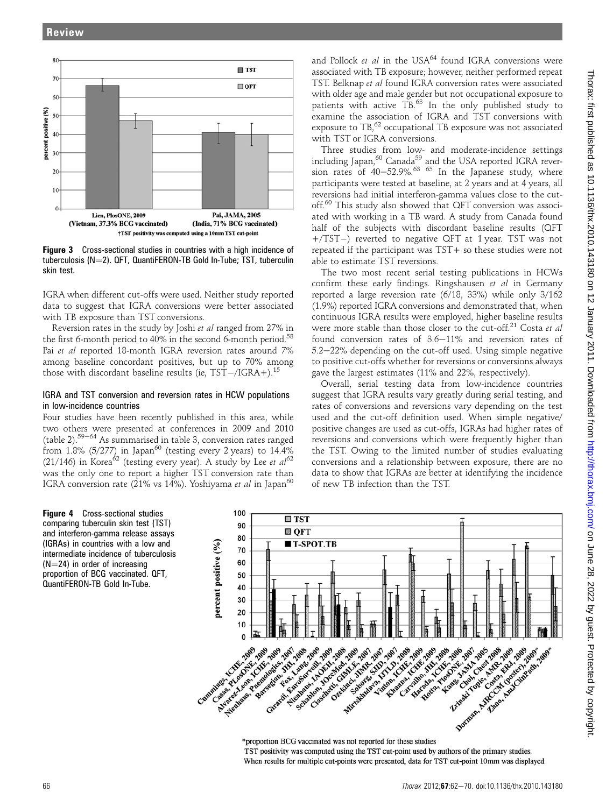

**Figure 3** Cross-sectional studies in countries with a high incidence of tuberculosis (N¼2). QFT, QuantiFERON-TB Gold In-Tube; TST, tuberculin skin test.

IGRA when different cut-offs were used. Neither study reported data to suggest that IGRA conversions were better associated with TB exposure than TST conversions.

Reversion rates in the study by Joshi et al ranged from 27% in the first 6-month period to  $40\%$  in the second 6-month period.<sup>58</sup> Pai et al reported 18-month IGRA reversion rates around 7% among baseline concordant positives, but up to 70% among those with discordant baseline results (ie,  $TST - / IGRA +$ ).<sup>15</sup>

## IGRA and TST conversion and reversion rates in HCW populations in low-incidence countries

Four studies have been recently published in this area, while two others were presented at conferences in 2009 and 2010 (table 2).<sup>59–64</sup> As summarised in table 3, conversion rates ranged from 1.8%  $(5/277)$  in Japan<sup>60</sup> (testing every 2 years) to 14.4% (21/146) in Korea<sup>62</sup> (testing every year). A study by Lee et  $a^{162}$ was the only one to report a higher TST conversion rate than IGRA conversion rate (21% vs 14%). Yoshiyama et al in Japan<sup>60</sup>

and Pollock et al in the USA $^{64}$  found IGRA conversions were associated with TB exposure; however, neither performed repeat TST. Belknap et al found IGRA conversion rates were associated with older age and male gender but not occupational exposure to patients with active TB.<sup>63</sup> In the only published study to examine the association of IGRA and TST conversions with exposure to  $TB<sub>1</sub>$ <sup>62</sup> occupational TB exposure was not associated with TST or IGRA conversions.

Three studies from low- and moderate-incidence settings including Japan,<sup>60</sup> Canada<sup>59</sup> and the USA reported IGRA reversion rates of  $40-52.9\%$ .<sup>63 65</sup> In the Japanese study, where participants were tested at baseline, at 2 years and at 4 years, all reversions had initial interferon-gamma values close to the cutoff.<sup>60</sup> This study also showed that QFT conversion was associated with working in a TB ward. A study from Canada found half of the subjects with discordant baseline results (QFT +/TST-) reverted to negative QFT at 1 year. TST was not repeated if the participant was TST+ so these studies were not able to estimate TST reversions.

The two most recent serial testing publications in HCWs confirm these early findings. Ringshausen et al in Germany reported a large reversion rate (6/18, 33%) while only 3/162 (1.9%) reported IGRA conversions and demonstrated that, when continuous IGRA results were employed, higher baseline results were more stable than those closer to the cut-off.<sup>21</sup> Costa et al found conversion rates of  $3.6-11\%$  and reversion rates of 5.2-22% depending on the cut-off used. Using simple negative to positive cut-offs whether for reversions or conversions always gave the largest estimates (11% and 22%, respectively).

Overall, serial testing data from low-incidence countries suggest that IGRA results vary greatly during serial testing, and rates of conversions and reversions vary depending on the test used and the cut-off definition used. When simple negative/ positive changes are used as cut-offs, IGRAs had higher rates of reversions and conversions which were frequently higher than the TST. Owing to the limited number of studies evaluating conversions and a relationship between exposure, there are no data to show that IGRAs are better at identifying the incidence of new TB infection than the TST.

Figure 4 Cross-sectional studies comparing tuberculin skin test (TST) and interferon-gamma release assays (IGRAs) in countries with a low and intermediate incidence of tuberculosis  $(N=24)$  in order of increasing proportion of BCG vaccinated. QFT, QuantiFERON-TB Gold In-Tube.



\*proportion BCG vaccinated was not reported for these studies TST positivity was computed using the TST cut-point used by authors of the primary studies. When results for multiple cut-points were presented, data for TST cut-point 10mm was displayed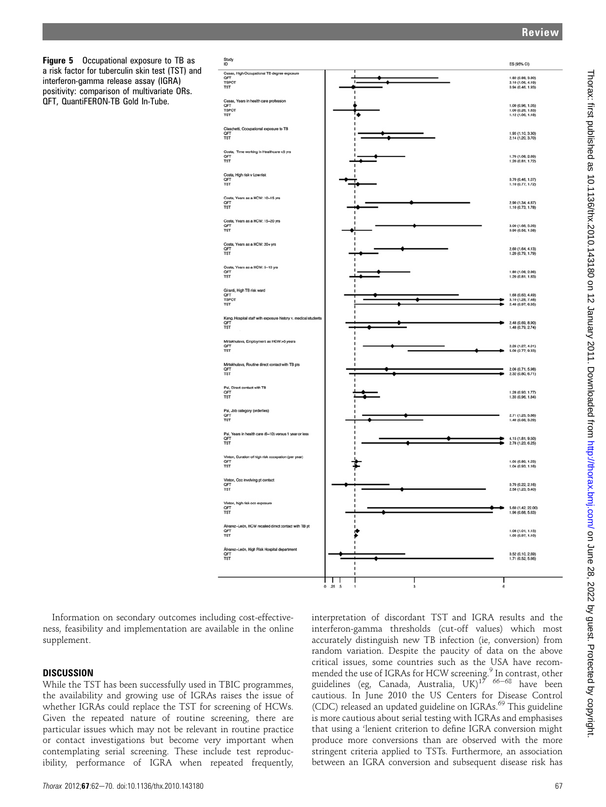

Figure 5 Occupational exposure to TB as a risk factor for tuberculin skin test (TST) and interferon-gamma release assay (IGRA) positivity: comparison of multivariate ORs. QFT, QuantiFERON-TB Gold In-Tube.

Information on secondary outcomes including cost-effectiveness, feasibility and implementation are available in the online supplement.

## **DISCUSSION**

While the TST has been successfully used in TBIC programmes, the availability and growing use of IGRAs raises the issue of whether IGRAs could replace the TST for screening of HCWs. Given the repeated nature of routine screening, there are particular issues which may not be relevant in routine practice or contact investigations but become very important when contemplating serial screening. These include test reproducibility, performance of IGRA when repeated frequently,

interpretation of discordant TST and IGRA results and the interferon-gamma thresholds (cut-off values) which most accurately distinguish new TB infection (ie, conversion) from random variation. Despite the paucity of data on the above critical issues, some countries such as the USA have recommended the use of IGRAs for HCW screening.<sup>9</sup> In contrast, other guidelines (eg, Canada, Australia, UK)<sup>17 66–68</sup> have been cautious. In June 2010 the US Centers for Disease Control (CDC) released an updated guideline on IGRAs.<sup>69</sup> This guideline is more cautious about serial testing with IGRAs and emphasises that using a 'lenient criterion to define IGRA conversion might produce more conversions than are observed with the more stringent criteria applied to TSTs. Furthermore, an association between an IGRA conversion and subsequent disease risk has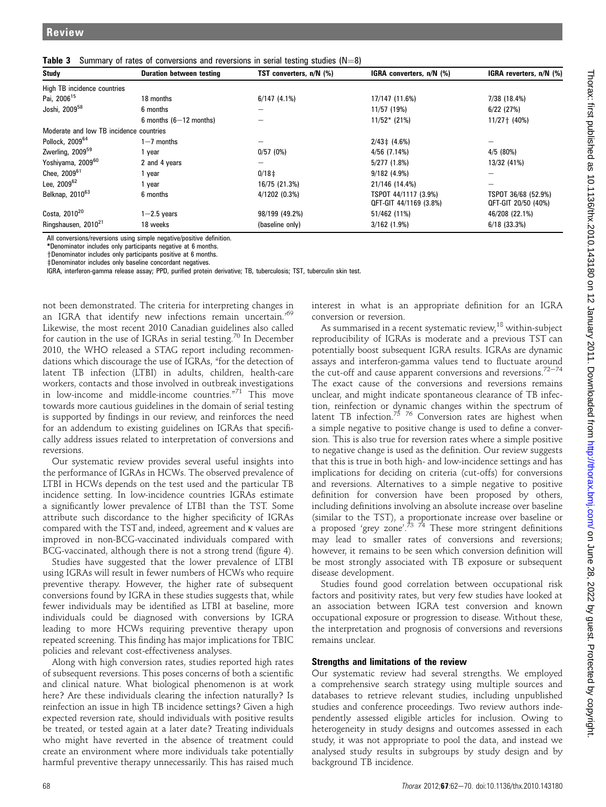**Table 3** Summary of rates of conversions and reversions in serial testing studies ( $N=8$ )

| <b>Study</b>                            | <b>Duration between testing</b> | TST converters, n/N (%) | IGRA converters, n/N (%)                       | IGRA reverters, n/N (%)                    |  |
|-----------------------------------------|---------------------------------|-------------------------|------------------------------------------------|--------------------------------------------|--|
| High TB incidence countries             |                                 |                         |                                                |                                            |  |
| Pai, 2006 <sup>15</sup>                 | 18 months                       | 6/147(4.1%)             | 17/147 (11.6%)                                 | 7/38 (18.4%)                               |  |
| Joshi, 2009 <sup>58</sup>               | 6 months                        |                         | 11/57 (19%)                                    | $6/22$ (27%)                               |  |
|                                         | 6 months $(6-12$ months)        |                         | $11/52*$ (21%)                                 | $11/27 + (40%)$                            |  |
| Moderate and low TB incidence countries |                                 |                         |                                                |                                            |  |
| Pollock, 2009 <sup>64</sup>             | 1—7 months                      |                         | $2/43 \pm (4.6\%)$                             |                                            |  |
| Zwerling, 2009 <sup>59</sup>            | year                            | 0/57(0%)                | $4/56$ $(7.14%)$                               | 4/5(80%)                                   |  |
| Yoshiyama, 2009 <sup>60</sup>           | 2 and 4 years                   | -                       | $5/277$ $(1.8\%)$                              | 13/32 (41%)                                |  |
| Chee, 2009 <sup>61</sup>                | year                            | 0/18 <sup>‡</sup>       | 9/182(4.9%)                                    |                                            |  |
| Lee, $2009^{62}$                        | year                            | 16/75 (21.3%)           | 21/146 (14.4%)                                 |                                            |  |
| Belknap, 2010 <sup>63</sup>             | 6 months                        | 4/1202 (0.3%)           | TSP0T 44/1117 (3.9%)<br>QFT-GIT 44/1169 (3.8%) | TSP0T 36/68 (52.9%)<br>QFT-GIT 20/50 (40%) |  |
| Costa, 2010 <sup>20</sup>               | $1 - 2.5$ years                 | 98/199 (49.2%)          | 51/462 (11%)                                   | 46/208 (22.1%)                             |  |
| Ringshausen, 2010 <sup>21</sup>         | 18 weeks                        | (baseline only)         | $3/162$ (1.9%)                                 | $6/18$ (33.3%)                             |  |

All conversions/reversions using simple negative/positive definition.

\*Denominator includes only participants negative at 6 months.

+Denominator includes only participants positive at 6 months.

zDenominator includes only baseline concordant negatives.

IGRA, interferon-gamma release assay; PPD, purified protein derivative; TB, tuberculosis; TST, tuberculin skin test.

not been demonstrated. The criteria for interpreting changes in an IGRA that identify new infections remain uncertain.<sup>169</sup> Likewise, the most recent 2010 Canadian guidelines also called for caution in the use of IGRAs in serial testing.<sup>70</sup> In December 2010, the WHO released a STAG report including recommendations which discourage the use of IGRAs, "for the detection of latent TB infection (LTBI) in adults, children, health-care workers, contacts and those involved in outbreak investigations in low-income and middle-income countries." <sup>71</sup> This move towards more cautious guidelines in the domain of serial testing is supported by findings in our review, and reinforces the need for an addendum to existing guidelines on IGRAs that specifically address issues related to interpretation of conversions and reversions.

Our systematic review provides several useful insights into the performance of IGRAs in HCWs. The observed prevalence of LTBI in HCWs depends on the test used and the particular TB incidence setting. In low-incidence countries IGRAs estimate a significantly lower prevalence of LTBI than the TST. Some attribute such discordance to the higher specificity of IGRAs compared with the TST and, indeed, agreement and k values are improved in non-BCG-vaccinated individuals compared with BCG-vaccinated, although there is not a strong trend (figure 4).

Studies have suggested that the lower prevalence of LTBI using IGRAs will result in fewer numbers of HCWs who require preventive therapy. However, the higher rate of subsequent conversions found by IGRA in these studies suggests that, while fewer individuals may be identified as LTBI at baseline, more individuals could be diagnosed with conversions by IGRA leading to more HCWs requiring preventive therapy upon repeated screening. This finding has major implications for TBIC policies and relevant cost-effectiveness analyses.

Along with high conversion rates, studies reported high rates of subsequent reversions. This poses concerns of both a scientific and clinical nature. What biological phenomenon is at work here? Are these individuals clearing the infection naturally? Is reinfection an issue in high TB incidence settings? Given a high expected reversion rate, should individuals with positive results be treated, or tested again at a later date? Treating individuals who might have reverted in the absence of treatment could create an environment where more individuals take potentially harmful preventive therapy unnecessarily. This has raised much

interest in what is an appropriate definition for an IGRA conversion or reversion.

As summarised in a recent systematic review,<sup>18</sup> within-subject reproducibility of IGRAs is moderate and a previous TST can potentially boost subsequent IGRA results. IGRAs are dynamic assays and interferon-gamma values tend to fluctuate around the cut-off and cause apparent conversions and reversions. $72-74$ The exact cause of the conversions and reversions remains unclear, and might indicate spontaneous clearance of TB infection, reinfection or dynamic changes within the spectrum of latent TB infection.<sup>75</sup><sup>76</sup> Conversion rates are highest when a simple negative to positive change is used to define a conversion. This is also true for reversion rates where a simple positive to negative change is used as the definition. Our review suggests that this is true in both high- and low-incidence settings and has implications for deciding on criteria (cut-offs) for conversions and reversions. Alternatives to a simple negative to positive definition for conversion have been proposed by others, including definitions involving an absolute increase over baseline (similar to the TST), a proportionate increase over baseline or a proposed 'grey zone'.<sup>73</sup> <sup>74</sup> These more stringent definitions may lead to smaller rates of conversions and reversions; however, it remains to be seen which conversion definition will be most strongly associated with TB exposure or subsequent disease development.

Studies found good correlation between occupational risk factors and positivity rates, but very few studies have looked at an association between IGRA test conversion and known occupational exposure or progression to disease. Without these, the interpretation and prognosis of conversions and reversions remains unclear.

## Strengths and limitations of the review

Our systematic review had several strengths. We employed a comprehensive search strategy using multiple sources and databases to retrieve relevant studies, including unpublished studies and conference proceedings. Two review authors independently assessed eligible articles for inclusion. Owing to heterogeneity in study designs and outcomes assessed in each study, it was not appropriate to pool the data, and instead we analysed study results in subgroups by study design and by background TB incidence.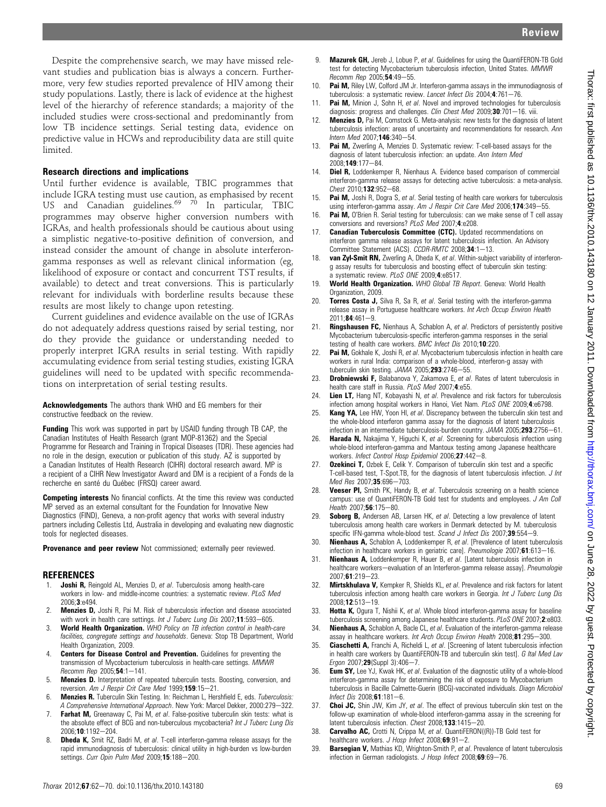Despite the comprehensive search, we may have missed relevant studies and publication bias is always a concern. Furthermore, very few studies reported prevalence of HIV among their study populations. Lastly, there is lack of evidence at the highest level of the hierarchy of reference standards; a majority of the included studies were cross-sectional and predominantly from low TB incidence settings. Serial testing data, evidence on predictive value in HCWs and reproducibility data are still quite limited.

#### Research directions and implications

Until further evidence is available, TBIC programmes that include IGRA testing must use caution, as emphasised by recent US and Canadian guidelines.<sup>69 70</sup> In particular, TBIC programmes may observe higher conversion numbers with IGRAs, and health professionals should be cautious about using a simplistic negative-to-positive definition of conversion, and instead consider the amount of change in absolute interferongamma responses as well as relevant clinical information (eg, likelihood of exposure or contact and concurrent TST results, if available) to detect and treat conversions. This is particularly relevant for individuals with borderline results because these results are most likely to change upon retesting.

Current guidelines and evidence available on the use of IGRAs do not adequately address questions raised by serial testing, nor do they provide the guidance or understanding needed to properly interpret IGRA results in serial testing. With rapidly accumulating evidence from serial testing studies, existing IGRA guidelines will need to be updated with specific recommendations on interpretation of serial testing results.

Acknowledgements The authors thank WHO and EG members for their constructive feedback on the review.

**Funding** This work was supported in part by USAID funding through TB CAP, the Canadian Institutes of Health Research (grant MOP-81362) and the Special Programme for Research and Training in Tropical Diseases (TDR). These agencies had no role in the design, execution or publication of this study. AZ is supported by a Canadian Institutes of Health Research (CIHR) doctoral research award. MP is a recipient of a CIHR New Investigator Award and DM is a recipient of a Fonds de la recherche en santé du Québec (FRSQ) career award.

**Competing interests** No financial conflicts. At the time this review was conducted MP served as an external consultant for the Foundation for Innovative New Diagnostics (FIND), Geneva, a non-profit agency that works with several industry partners including Cellestis Ltd, Australia in developing and evaluating new diagnostic tools for neglected diseases.

Provenance and peer review Not commissioned; externally peer reviewed.

#### REFERENCES

- 1. Joshi R, Reingold AL, Menzies D, et al. Tuberculosis among health-care workers in low- and middle-income countries: a systematic review. PLoS Med 2006;3:e494.
- 2. **Menzies D,** Joshi R, Pai M. Risk of tuberculosis infection and disease associated with work in health care settings. *Int J Tuberc Lung Dis*  $2007:11:593-605$ .
- 3. World Health Organization. WHO Policy on TB infection control in health-care facilities, congregate settings and households. Geneva: Stop TB Department, World Health Organization, 2009.
- 4. **Centers for Disease Control and Prevention.** Guidelines for preventing the transmission of Mycobacterium tuberculosis in health-care settings. MMWR  $Recommend$  Rep 2005; 54:1-141.
- 5. Menzies D. Interpretation of repeated tuberculin tests. Boosting, conversion, and reversion. Am J Respir Crit Care Med 1999;159:15-21.
- 6. Menzies R. Tuberculin Skin Testing. In: Reichman L, Hershfield E, eds. Tuberculosis: A Comprehensive International Approach. New York: Marcel Dekker, 2000:279-322.
- 7. **Farhat M.** Greenaway C, Pai M, et al. False-positive tuberculin skin tests: what is the absolute effect of BCG and non-tuberculous mycobacteria? Int J Tuberc Lung Dis 2006;10:1192-204.
- 8. **Dheda K,** Smit RZ, Badri M, et al. T-cell interferon-gamma release assays for the rapid immunodiagnosis of tuberculosis: clinical utility in high-burden vs low-burden settings. Curr Opin Pulm Med 2009;15:188-200.
- 9. Mazurek GH, Jereb J, Lobue P, et al. Guidelines for using the QuantiFERON-TB Gold test for detecting Mycobacterium tuberculosis infection, United States. MMWR Recomm Rep 2005;54:49-55.
- 10. Pai M, Riley LW, Colford JM Jr. Interferon-gamma assays in the immunodiagnosis of tuberculosis: a systematic review. Lancet Infect Dis  $2004:4:761-76$ .
- 11. Pai M, Minion J, Sohn H, et al. Novel and improved technologies for tuberculosis diagnosis: progress and challenges. Clin Chest Med 2009;30:701-16. viii.
- 12. **Menzies D,** Pai M, Comstock G. Meta-analysis: new tests for the diagnosis of latent tuberculosis infection: areas of uncertainty and recommendations for research. Ann Intern Med 2007;146:340-54.
- 13. Pai M, Zwerling A, Menzies D. Systematic review: T-cell-based assays for the diagnosis of latent tuberculosis infection: an update. Ann Intern Med 2008;149:177-84.
- 14. **Diel R,** Loddenkemper R, Nienhaus A. Evidence based comparison of commercial interferon-gamma release assays for detecting active tuberculosis: a meta-analysis.  $Check 2010 \cdot 132 \cdot 952 - 68$
- 15. Pai M, Joshi R, Dogra S, et al. Serial testing of health care workers for tuberculosis using interferon-gamma assay. Am J Respir Crit Care Med 2006;174:349-55.
- 16. **Pai M,** O'Brien R. Serial testing for tuberculosis: can we make sense of T cell assay conversions and reversions? PLoS Med 2007;4:e208.
- 17. Canadian Tuberculosis Committee (CTC). Updated recommendations on interferon gamma release assays for latent tuberculosis infection. An Advisory Committee Statement (ACS). CCDR-RMTC 2008;34:1-13.
- van Zyl-Smit RN, Zwerling A, Dheda K, et al. Within-subject variability of interferong assay results for tuberculosis and boosting effect of tuberculin skin testing: a systematic review. PLoS ONE 2009;4:e8517.
- 19. World Health Organization. WHO Global TB Report. Geneva: World Health Organization, 2009.
- 20. Torres Costa J, Silva R, Sa R, et al. Serial testing with the interferon-gamma release assay in Portuguese healthcare workers. Int Arch Occup Environ Health  $2011 \cdot 84 \cdot 461 - 9$
- 21. Ringshausen FC, Nienhaus A, Schablon A, et al. Predictors of persistently positive Mycobacterium tuberculosis-specific interferon-gamma responses in the serial testing of health care workers. BMC Infect Dis 2010;10:220.
- **Pai M, Gokhale K, Joshi R, et al. Mycobacterium tuberculosis infection in health care** workers in rural India: comparison of a whole-blood, interferon-g assay with tuberculin skin testing. JAMA 2005;293:2746-55.
- 23. Drobniewski F, Balabanova Y, Zakamova E, et al. Rates of latent tuberculosis in health care staff in Russia. PLoS Med 2007;4:e55.
- 24. Lien LT, Hang NT, Kobayashi N, et al. Prevalence and risk factors for tuberculosis infection among hospital workers in Hanoi, Viet Nam. PLoS ONE 2009;4:e6798.
- 25. Kang YA, Lee HW, Yoon HI, et al. Discrepancy between the tuberculin skin test and the whole-blood interferon gamma assay for the diagnosis of latent tuberculosis infection in an intermediate tuberculosis-burden country. JAMA 2005;293:2756-61.
- 26. **Harada N,** Nakajima Y, Higuchi K, et al. Screening for tuberculosis infection using whole-blood interferon-gamma and Mantoux testing among Japanese healthcare workers. Infect Control Hosp Epidemiol 2006;27:442-8.
- 27. **Ozekinci T,** Ozbek E, Celik Y. Comparison of tuberculin skin test and a specific T-cell-based test, T-Spot.TB, for the diagnosis of latent tuberculosis infection. J Int Med Res 2007;35:696-703.
- 28. Veeser PI, Smith PK, Handy B, et al. Tuberculosis screening on a health science campus: use of QuantiFERON-TB Gold test for students and employees. J Am Coll Health 2007;56:175-80.
- 29. Soborg B, Andersen AB, Larsen HK, et al. Detecting a low prevalence of latent tuberculosis among health care workers in Denmark detected by M. tuberculosis specific IFN-gamma whole-blood test. Scand J Infect Dis 2007:39:554-9.
- 30. Nienhaus A, Schablon A, Loddenkemper R, et al. [Prevalence of latent tuberculosis infection in healthcare workers in geriatric care]. Pneumologie 2007;61:613-16.
- 31. **Nienhaus A,** Loddenkemper R, Hauer B, et al. [Latent tuberculosis infection in healthcare workers-evaluation of an Interferon-gamma release assay]. Pneumologie  $2007:61:219-23$
- 32. Mirtskhulava V, Kempker R, Shields KL, et al. Prevalence and risk factors for latent tuberculosis infection among health care workers in Georgia. Int J Tuberc Lung Dis 2008:12:513-19.
- 33. **Hotta K,** Ogura T, Nishii K, et al. Whole blood interferon-gamma assay for baseline tuberculosis screening among Japanese healthcare students. PLoS ONE 2007;2:e803.
- 34. Nienhaus A, Schablon A, Bacle CL, et al. Evaluation of the interferon-gamma release assay in healthcare workers. Int Arch Occup Environ Health 2008;81:295-300.
- 35. Ciaschetti A, Franchi A, Richeldi L, et al. [Screening of latent tuberculosis infection in health care workers by QuantiFERON-TB and tuberculin skin test]. G Ital Med Lav Eraon 2007;29(Suppl 3):406-7.
- 36. Eum SY, Lee YJ, Kwak HK, et al. Evaluation of the diagnostic utility of a whole-blood interferon-gamma assay for determining the risk of exposure to Mycobacterium tuberculosis in Bacille Calmette-Guerin (BCG)-vaccinated individuals. Diagn Microbiol  $Infect Dis 2008;61:181-6.$
- 37. Choi JC, Shin JW, Kim JY, et al. The effect of previous tuberculin skin test on the follow-up examination of whole-blood interferon-gamma assay in the screening for latent tuberculosis infection. Chest  $2008; 133:1415-20$ .
- 38. Carvalho AC, Crotti N, Crippa M, et al. QuantiFERON((R))-TB Gold test for healthcare workers. J Hosp Infect  $2008:69:91-2$ .
- 39. **Barsegian V,** Mathias KD, Wrighton-Smith P, et al. Prevalence of latent tuberculosis infection in German radiologists. J Hosp Infect 2008;69:69-76.